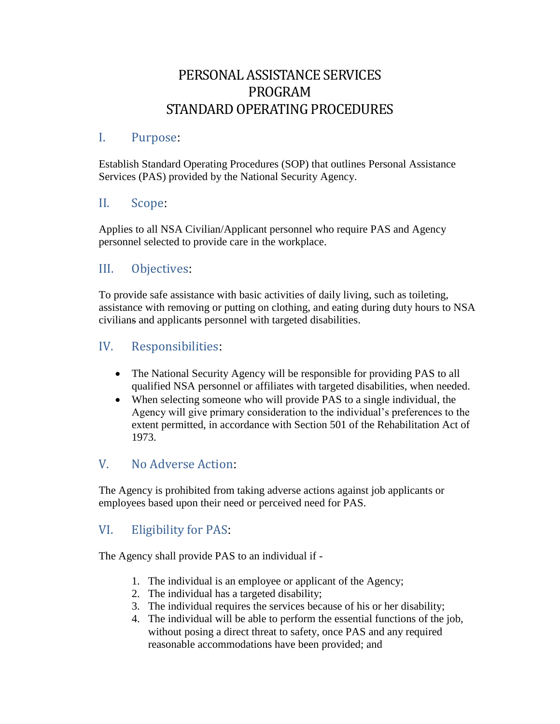# PERSONAL ASSISTANCE SERVICES PROGRAM STANDARD OPERATING PROCEDURES

#### I. Purpose:

Establish Standard Operating Procedures (SOP) that outlines Personal Assistance Services (PAS) provided by the National Security Agency.

#### II. Scope:

Applies to all NSA Civilian/Applicant personnel who require PAS and Agency personnel selected to provide care in the workplace.

# III. Objectives:

To provide safe assistance with basic activities of daily living, such as toileting, assistance with removing or putting on clothing, and eating during duty hours to NSA civilians and applicants personnel with targeted disabilities.

#### IV. Responsibilities:

- The National Security Agency will be responsible for providing PAS to all qualified NSA personnel or affiliates with targeted disabilities, when needed.
- When selecting someone who will provide PAS to a single individual, the Agency will give primary consideration to the individual's preferences to the extent permitted, in accordance with Section 501 of the Rehabilitation Act of 1973.

# V. No Adverse Action:

The Agency is prohibited from taking adverse actions against job applicants or employees based upon their need or perceived need for PAS.

# VI. Eligibility for PAS:

The Agency shall provide PAS to an individual if -

- 1. The individual is an employee or applicant of the Agency;
- 2. The individual has a targeted disability;
- 3. The individual requires the services because of his or her disability;
- 4. The individual will be able to perform the essential functions of the job, without posing a direct threat to safety, once PAS and any required reasonable accommodations have been provided; and